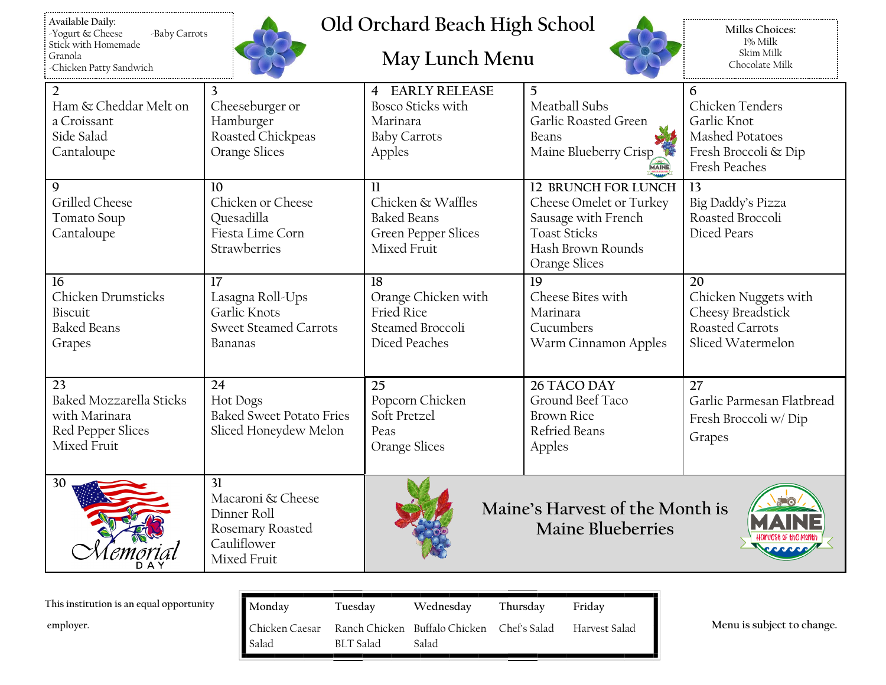| Available Daily:        |               |
|-------------------------|---------------|
| Yogurt & Cheese         | -Baby Carrots |
| Stick with Homemade     |               |
| Granola                 |               |
| -Chicken Patty Sandwich |               |



## **Old Orchard Beach High School**

## **May Lunch Menu**



**Milks Choices:** 1% Milk Skim Milk Chocolate Milk

| $\overline{2}$                 | 3                               | <b>4 EARLY RELEASE</b>     | 5                               | 6                         |  |
|--------------------------------|---------------------------------|----------------------------|---------------------------------|---------------------------|--|
| Ham & Cheddar Melt on          | Cheeseburger or                 | <b>Bosco Sticks with</b>   | Meatball Subs                   |                           |  |
| a Croissant                    | Hamburger                       | Marinara                   | Garlic Roasted Green            | Garlic Knot               |  |
| Side Salad                     | Roasted Chickpeas               | <b>Baby Carrots</b>        | Beans                           | Mashed Potatoes           |  |
| Cantaloupe                     | Orange Slices                   | Apples                     | Maine Blueberry Crisp           | Fresh Broccoli & Dip      |  |
|                                |                                 | MAINE                      |                                 | Fresh Peaches             |  |
| 9                              | 10                              | $\mathbf{1}$               | <b>12 BRUNCH FOR LUNCH</b>      | 13                        |  |
| Grilled Cheese                 | Chicken or Cheese               | Chicken & Waffles          | Cheese Omelet or Turkey         | Big Daddy's Pizza         |  |
| Tomato Soup                    | Quesadilla                      | <b>Baked Beans</b>         | Sausage with French             | Roasted Broccoli          |  |
| Cantaloupe                     | Fiesta Lime Corn                | <b>Green Pepper Slices</b> | <b>Toast Sticks</b>             | Diced Pears               |  |
|                                | Strawberries                    | Mixed Fruit                | Hash Brown Rounds               |                           |  |
|                                |                                 |                            | Orange Slices                   |                           |  |
| 16                             | 17                              | 18                         | 19                              | 20                        |  |
| Chicken Drumsticks             | Lasagna Roll-Ups                | Orange Chicken with        | Cheese Bites with               | Chicken Nuggets with      |  |
| Biscuit                        | Garlic Knots                    | Fried Rice                 | Marinara                        | Cheesy Breadstick         |  |
| <b>Baked Beans</b>             | <b>Sweet Steamed Carrots</b>    | Steamed Broccoli           | Cucumbers                       | Roasted Carrots           |  |
| Grapes                         | Bananas                         | Diced Peaches              | Warm Cinnamon Apples            | Sliced Watermelon         |  |
|                                |                                 |                            |                                 |                           |  |
| 23                             | 24                              | 25                         | 26 TACO DAY                     | 27                        |  |
| <b>Baked Mozzarella Sticks</b> | <b>Hot Dogs</b>                 | Popcorn Chicken            | Ground Beef Taco                | Garlic Parmesan Flatbread |  |
| with Marinara                  | <b>Baked Sweet Potato Fries</b> | Soft Pretzel               | <b>Brown Rice</b>               | Fresh Broccoli w/Dip      |  |
| Red Pepper Slices              | Sliced Honeydew Melon           | Peas                       | Refried Beans                   |                           |  |
| Mixed Fruit                    |                                 | Orange Slices              | Apples                          | Grapes                    |  |
|                                |                                 |                            |                                 |                           |  |
| 30                             | 31                              |                            |                                 |                           |  |
|                                | Macaroni & Cheese               |                            |                                 |                           |  |
|                                | Dinner Roll                     |                            | Maine's Harvest of the Month is |                           |  |
|                                | Rosemary Roasted                |                            | <b>Maine Blueberries</b>        |                           |  |
|                                | Cauliflower                     |                            |                                 |                           |  |
|                                | Mixed Fruit                     |                            |                                 |                           |  |
|                                |                                 |                            |                                 |                           |  |

| This institution is an equal opportunity | Monday                     | Tuesday   | Wednesday                                           | Thursdav | Fridav        |
|------------------------------------------|----------------------------|-----------|-----------------------------------------------------|----------|---------------|
| employer.                                | ∣∎ Chicken Caesar<br>Salad | BLT Salad | Ranch Chicken Buffalo Chicken Chef's Salad<br>Salad |          | Harvest Salad |

**employer. Menu is subject to change.**